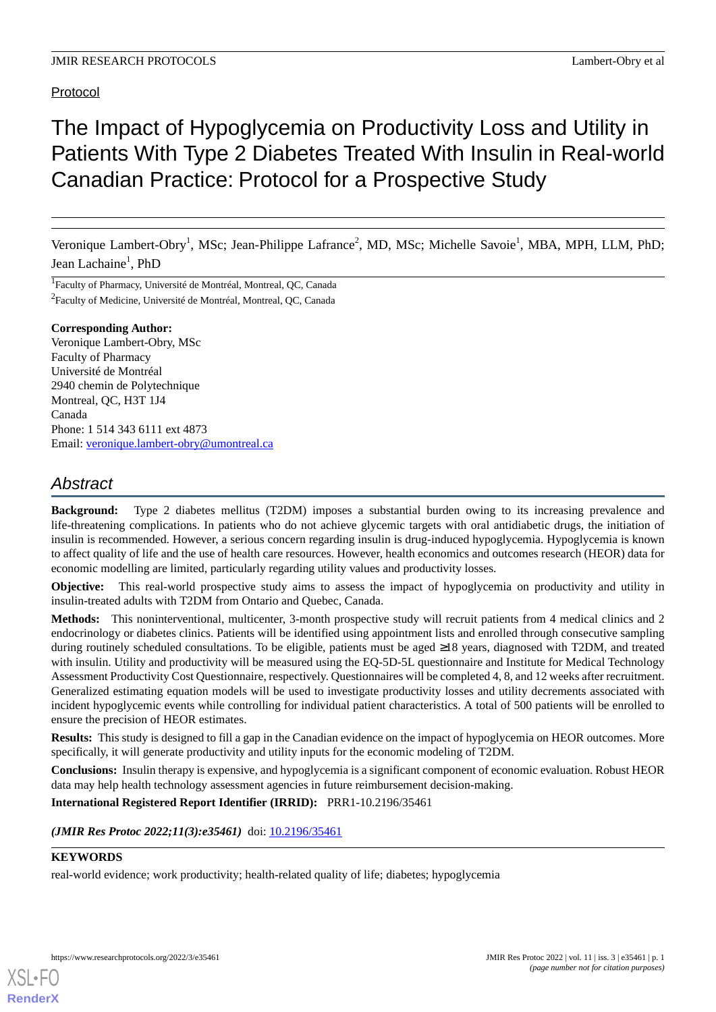### Protocol

# The Impact of Hypoglycemia on Productivity Loss and Utility in Patients With Type 2 Diabetes Treated With Insulin in Real-world Canadian Practice: Protocol for a Prospective Study

Veronique Lambert-Obry<sup>1</sup>, MSc; Jean-Philippe Lafrance<sup>2</sup>, MD, MSc; Michelle Savoie<sup>1</sup>, MBA, MPH, LLM, PhD; Jean Lachaine<sup>1</sup>, PhD

<sup>1</sup>Faculty of Pharmacy, Université de Montréal, Montreal, QC, Canada <sup>2</sup>Faculty of Medicine, Université de Montréal, Montreal, QC, Canada

#### **Corresponding Author:**

Veronique Lambert-Obry, MSc Faculty of Pharmacy Université de Montréal 2940 chemin de Polytechnique Montreal, QC, H3T 1J4 Canada Phone: 1 514 343 6111 ext 4873 Email: [veronique.lambert-obry@umontreal.ca](mailto:veronique.lambert-obry@umontreal.ca)

# *Abstract*

**Background:** Type 2 diabetes mellitus (T2DM) imposes a substantial burden owing to its increasing prevalence and life-threatening complications. In patients who do not achieve glycemic targets with oral antidiabetic drugs, the initiation of insulin is recommended. However, a serious concern regarding insulin is drug-induced hypoglycemia. Hypoglycemia is known to affect quality of life and the use of health care resources. However, health economics and outcomes research (HEOR) data for economic modelling are limited, particularly regarding utility values and productivity losses.

**Objective:** This real-world prospective study aims to assess the impact of hypoglycemia on productivity and utility in insulin-treated adults with T2DM from Ontario and Quebec, Canada.

**Methods:** This noninterventional, multicenter, 3-month prospective study will recruit patients from 4 medical clinics and 2 endocrinology or diabetes clinics. Patients will be identified using appointment lists and enrolled through consecutive sampling during routinely scheduled consultations. To be eligible, patients must be aged ≥18 years, diagnosed with T2DM, and treated with insulin. Utility and productivity will be measured using the EQ-5D-5L questionnaire and Institute for Medical Technology Assessment Productivity Cost Questionnaire, respectively. Questionnaires will be completed 4, 8, and 12 weeks after recruitment. Generalized estimating equation models will be used to investigate productivity losses and utility decrements associated with incident hypoglycemic events while controlling for individual patient characteristics. A total of 500 patients will be enrolled to ensure the precision of HEOR estimates.

**Results:** This study is designed to fill a gap in the Canadian evidence on the impact of hypoglycemia on HEOR outcomes. More specifically, it will generate productivity and utility inputs for the economic modeling of T2DM.

**Conclusions:** Insulin therapy is expensive, and hypoglycemia is a significant component of economic evaluation. Robust HEOR data may help health technology assessment agencies in future reimbursement decision-making.

**International Registered Report Identifier (IRRID):** PRR1-10.2196/35461

*(JMIR Res Protoc 2022;11(3):e35461)* doi: [10.2196/35461](http://dx.doi.org/10.2196/35461)

#### **KEYWORDS**

[XSL](http://www.w3.org/Style/XSL)•FO **[RenderX](http://www.renderx.com/)**

real-world evidence; work productivity; health-related quality of life; diabetes; hypoglycemia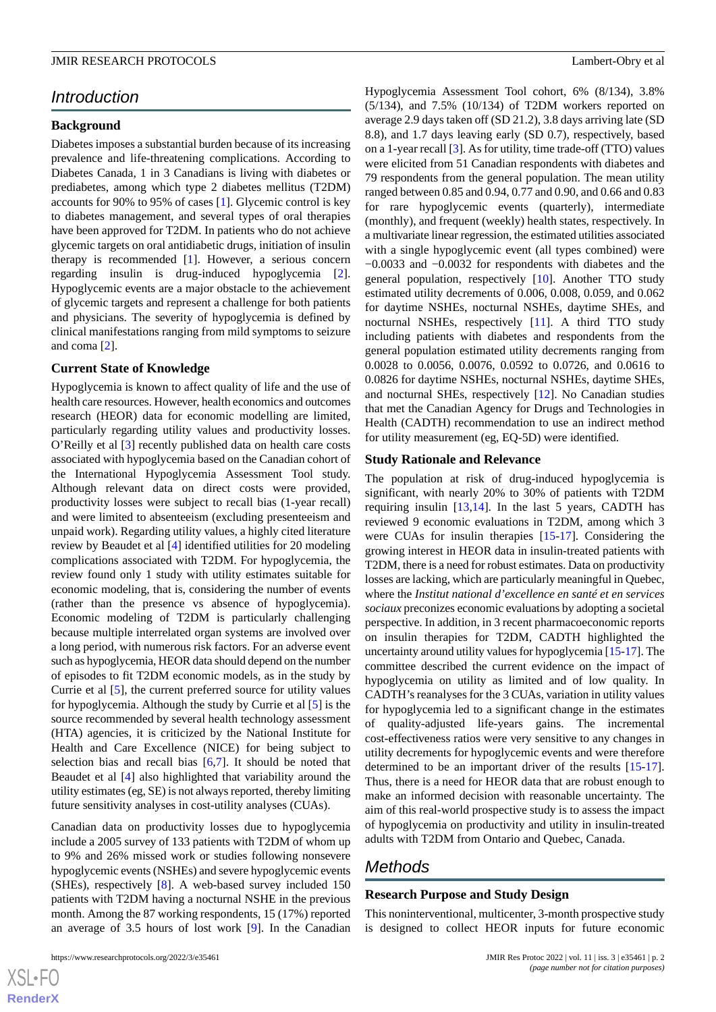# *Introduction*

#### **Background**

Diabetes imposes a substantial burden because of its increasing prevalence and life-threatening complications. According to Diabetes Canada, 1 in 3 Canadians is living with diabetes or prediabetes, among which type 2 diabetes mellitus (T2DM) accounts for 90% to 95% of cases [\[1](#page-7-0)]. Glycemic control is key to diabetes management, and several types of oral therapies have been approved for T2DM. In patients who do not achieve glycemic targets on oral antidiabetic drugs, initiation of insulin therapy is recommended [[1\]](#page-7-0). However, a serious concern regarding insulin is drug-induced hypoglycemia [[2\]](#page-7-1). Hypoglycemic events are a major obstacle to the achievement of glycemic targets and represent a challenge for both patients and physicians. The severity of hypoglycemia is defined by clinical manifestations ranging from mild symptoms to seizure and coma [[2\]](#page-7-1).

#### **Current State of Knowledge**

Hypoglycemia is known to affect quality of life and the use of health care resources. However, health economics and outcomes research (HEOR) data for economic modelling are limited, particularly regarding utility values and productivity losses. O'Reilly et al [\[3](#page-7-2)] recently published data on health care costs associated with hypoglycemia based on the Canadian cohort of the International Hypoglycemia Assessment Tool study. Although relevant data on direct costs were provided, productivity losses were subject to recall bias (1-year recall) and were limited to absenteeism (excluding presenteeism and unpaid work). Regarding utility values, a highly cited literature review by Beaudet et al [[4\]](#page-7-3) identified utilities for 20 modeling complications associated with T2DM. For hypoglycemia, the review found only 1 study with utility estimates suitable for economic modeling, that is, considering the number of events (rather than the presence vs absence of hypoglycemia). Economic modeling of T2DM is particularly challenging because multiple interrelated organ systems are involved over a long period, with numerous risk factors. For an adverse event such as hypoglycemia, HEOR data should depend on the number of episodes to fit T2DM economic models, as in the study by Currie et al [\[5](#page-7-4)], the current preferred source for utility values for hypoglycemia. Although the study by Currie et al [[5\]](#page-7-4) is the source recommended by several health technology assessment (HTA) agencies, it is criticized by the National Institute for Health and Care Excellence (NICE) for being subject to selection bias and recall bias  $[6,7]$  $[6,7]$  $[6,7]$ . It should be noted that Beaudet et al [[4\]](#page-7-3) also highlighted that variability around the utility estimates (eg, SE) is not always reported, thereby limiting future sensitivity analyses in cost-utility analyses (CUAs).

Canadian data on productivity losses due to hypoglycemia include a 2005 survey of 133 patients with T2DM of whom up to 9% and 26% missed work or studies following nonsevere hypoglycemic events (NSHEs) and severe hypoglycemic events (SHEs), respectively [\[8](#page-7-7)]. A web-based survey included 150 patients with T2DM having a nocturnal NSHE in the previous month. Among the 87 working respondents, 15 (17%) reported an average of 3.5 hours of lost work [[9\]](#page-7-8). In the Canadian

 $XS$  $\cdot$ FC **[RenderX](http://www.renderx.com/)** Hypoglycemia Assessment Tool cohort, 6% (8/134), 3.8% (5/134), and 7.5% (10/134) of T2DM workers reported on average 2.9 days taken off (SD 21.2), 3.8 days arriving late (SD 8.8), and 1.7 days leaving early (SD 0.7), respectively, based on a 1-year recall [[3\]](#page-7-2). As for utility, time trade-off (TTO) values were elicited from 51 Canadian respondents with diabetes and 79 respondents from the general population. The mean utility ranged between 0.85 and 0.94, 0.77 and 0.90, and 0.66 and 0.83 for rare hypoglycemic events (quarterly), intermediate (monthly), and frequent (weekly) health states, respectively. In a multivariate linear regression, the estimated utilities associated with a single hypoglycemic event (all types combined) were −0.0033 and −0.0032 for respondents with diabetes and the general population, respectively [\[10](#page-7-9)]. Another TTO study estimated utility decrements of 0.006, 0.008, 0.059, and 0.062 for daytime NSHEs, nocturnal NSHEs, daytime SHEs, and nocturnal NSHEs, respectively [\[11](#page-7-10)]. A third TTO study including patients with diabetes and respondents from the general population estimated utility decrements ranging from 0.0028 to 0.0056, 0.0076, 0.0592 to 0.0726, and 0.0616 to 0.0826 for daytime NSHEs, nocturnal NSHEs, daytime SHEs, and nocturnal SHEs, respectively [[12\]](#page-7-11). No Canadian studies that met the Canadian Agency for Drugs and Technologies in Health (CADTH) recommendation to use an indirect method for utility measurement (eg, EQ-5D) were identified.

#### **Study Rationale and Relevance**

The population at risk of drug-induced hypoglycemia is significant, with nearly 20% to 30% of patients with T2DM requiring insulin  $[13,14]$  $[13,14]$  $[13,14]$ . In the last 5 years, CADTH has reviewed 9 economic evaluations in T2DM, among which 3 were CUAs for insulin therapies [\[15](#page-7-14)[-17](#page-7-15)]. Considering the growing interest in HEOR data in insulin-treated patients with T2DM, there is a need for robust estimates. Data on productivity losses are lacking, which are particularly meaningful in Quebec, where the *Institut national d'excellence en santé et en services sociaux* preconizes economic evaluations by adopting a societal perspective. In addition, in 3 recent pharmacoeconomic reports on insulin therapies for T2DM, CADTH highlighted the uncertainty around utility values for hypoglycemia [[15](#page-7-14)-[17\]](#page-7-15). The committee described the current evidence on the impact of hypoglycemia on utility as limited and of low quality. In CADTH's reanalyses for the 3 CUAs, variation in utility values for hypoglycemia led to a significant change in the estimates of quality-adjusted life-years gains. The incremental cost-effectiveness ratios were very sensitive to any changes in utility decrements for hypoglycemic events and were therefore determined to be an important driver of the results [[15-](#page-7-14)[17\]](#page-7-15). Thus, there is a need for HEOR data that are robust enough to make an informed decision with reasonable uncertainty. The aim of this real-world prospective study is to assess the impact of hypoglycemia on productivity and utility in insulin-treated adults with T2DM from Ontario and Quebec, Canada.

# *Methods*

#### **Research Purpose and Study Design**

This noninterventional, multicenter, 3-month prospective study is designed to collect HEOR inputs for future economic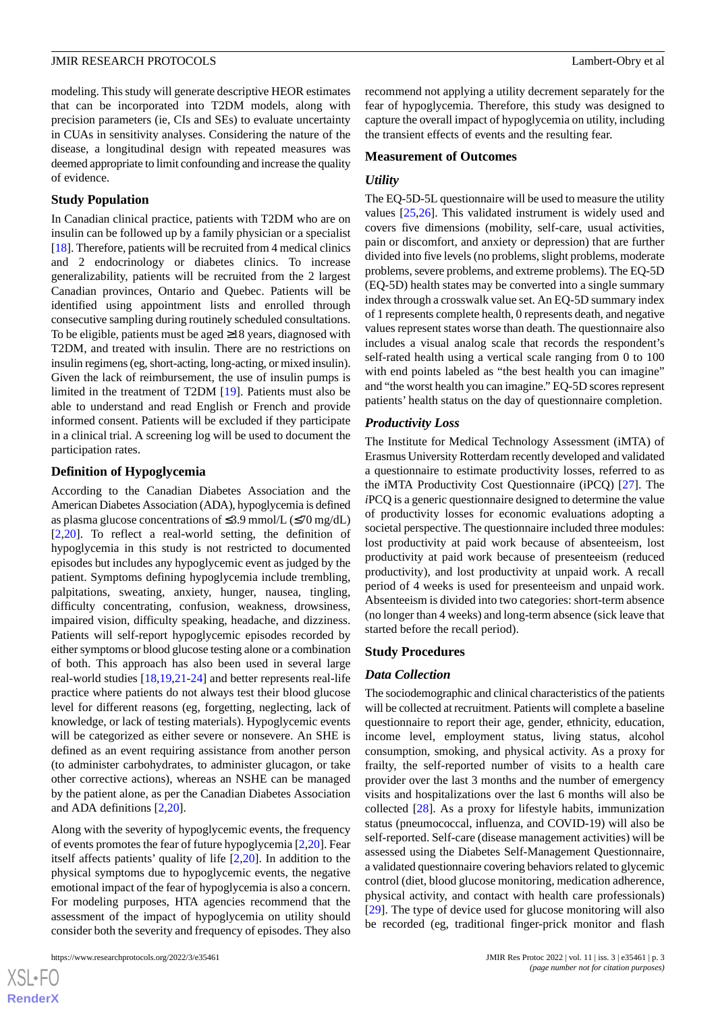modeling. This study will generate descriptive HEOR estimates that can be incorporated into T2DM models, along with precision parameters (ie, CIs and SEs) to evaluate uncertainty in CUAs in sensitivity analyses. Considering the nature of the disease, a longitudinal design with repeated measures was deemed appropriate to limit confounding and increase the quality of evidence.

#### **Study Population**

In Canadian clinical practice, patients with T2DM who are on insulin can be followed up by a family physician or a specialist [[18\]](#page-7-16). Therefore, patients will be recruited from 4 medical clinics and 2 endocrinology or diabetes clinics. To increase generalizability, patients will be recruited from the 2 largest Canadian provinces, Ontario and Quebec. Patients will be identified using appointment lists and enrolled through consecutive sampling during routinely scheduled consultations. To be eligible, patients must be aged  $\geq$ 18 years, diagnosed with T2DM, and treated with insulin. There are no restrictions on insulin regimens (eg, short-acting, long-acting, or mixed insulin). Given the lack of reimbursement, the use of insulin pumps is limited in the treatment of T2DM [[19\]](#page-8-0). Patients must also be able to understand and read English or French and provide informed consent. Patients will be excluded if they participate in a clinical trial. A screening log will be used to document the participation rates.

#### **Definition of Hypoglycemia**

According to the Canadian Diabetes Association and the American Diabetes Association (ADA), hypoglycemia is defined as plasma glucose concentrations of  $\leq$ 3.9 mmol/L ( $\leq$ 70 mg/dL) [[2](#page-7-1)[,20](#page-8-1)]. To reflect a real-world setting, the definition of hypoglycemia in this study is not restricted to documented episodes but includes any hypoglycemic event as judged by the patient. Symptoms defining hypoglycemia include trembling, palpitations, sweating, anxiety, hunger, nausea, tingling, difficulty concentrating, confusion, weakness, drowsiness, impaired vision, difficulty speaking, headache, and dizziness. Patients will self-report hypoglycemic episodes recorded by either symptoms or blood glucose testing alone or a combination of both. This approach has also been used in several large real-world studies [\[18](#page-7-16),[19](#page-8-0)[,21](#page-8-2)-[24\]](#page-8-3) and better represents real-life practice where patients do not always test their blood glucose level for different reasons (eg, forgetting, neglecting, lack of knowledge, or lack of testing materials). Hypoglycemic events will be categorized as either severe or nonsevere. An SHE is defined as an event requiring assistance from another person (to administer carbohydrates, to administer glucagon, or take other corrective actions), whereas an NSHE can be managed by the patient alone, as per the Canadian Diabetes Association and ADA definitions [[2,](#page-7-1)[20](#page-8-1)].

Along with the severity of hypoglycemic events, the frequency of events promotes the fear of future hypoglycemia [[2,](#page-7-1)[20](#page-8-1)]. Fear itself affects patients' quality of life [\[2,](#page-7-1)[20\]](#page-8-1). In addition to the physical symptoms due to hypoglycemic events, the negative emotional impact of the fear of hypoglycemia is also a concern. For modeling purposes, HTA agencies recommend that the assessment of the impact of hypoglycemia on utility should consider both the severity and frequency of episodes. They also

[XSL](http://www.w3.org/Style/XSL)•FO **[RenderX](http://www.renderx.com/)** recommend not applying a utility decrement separately for the fear of hypoglycemia. Therefore, this study was designed to capture the overall impact of hypoglycemia on utility, including the transient effects of events and the resulting fear.

#### **Measurement of Outcomes**

#### *Utility*

The EQ-5D-5L questionnaire will be used to measure the utility values [[25](#page-8-4)[,26](#page-8-5)]. This validated instrument is widely used and covers five dimensions (mobility, self-care, usual activities, pain or discomfort, and anxiety or depression) that are further divided into five levels (no problems, slight problems, moderate problems, severe problems, and extreme problems). The EQ-5D (EQ-5D) health states may be converted into a single summary index through a crosswalk value set. An EQ-5D summary index of 1 represents complete health, 0 represents death, and negative values represent states worse than death. The questionnaire also includes a visual analog scale that records the respondent's self-rated health using a vertical scale ranging from 0 to 100 with end points labeled as "the best health you can imagine" and "the worst health you can imagine." EQ-5D scores represent patients' health status on the day of questionnaire completion.

#### *Productivity Loss*

The Institute for Medical Technology Assessment (iMTA) of Erasmus University Rotterdam recently developed and validated a questionnaire to estimate productivity losses, referred to as the iMTA Productivity Cost Questionnaire (iPCQ) [[27\]](#page-8-6). The *i*PCQ is a generic questionnaire designed to determine the value of productivity losses for economic evaluations adopting a societal perspective. The questionnaire included three modules: lost productivity at paid work because of absenteeism, lost productivity at paid work because of presenteeism (reduced productivity), and lost productivity at unpaid work. A recall period of 4 weeks is used for presenteeism and unpaid work. Absenteeism is divided into two categories: short-term absence (no longer than 4 weeks) and long-term absence (sick leave that started before the recall period).

#### **Study Procedures**

#### *Data Collection*

The sociodemographic and clinical characteristics of the patients will be collected at recruitment. Patients will complete a baseline questionnaire to report their age, gender, ethnicity, education, income level, employment status, living status, alcohol consumption, smoking, and physical activity. As a proxy for frailty, the self-reported number of visits to a health care provider over the last 3 months and the number of emergency visits and hospitalizations over the last 6 months will also be collected [[28\]](#page-8-7). As a proxy for lifestyle habits, immunization status (pneumococcal, influenza, and COVID-19) will also be self-reported. Self-care (disease management activities) will be assessed using the Diabetes Self-Management Questionnaire, a validated questionnaire covering behaviors related to glycemic control (diet, blood glucose monitoring, medication adherence, physical activity, and contact with health care professionals) [[29\]](#page-8-8). The type of device used for glucose monitoring will also be recorded (eg, traditional finger-prick monitor and flash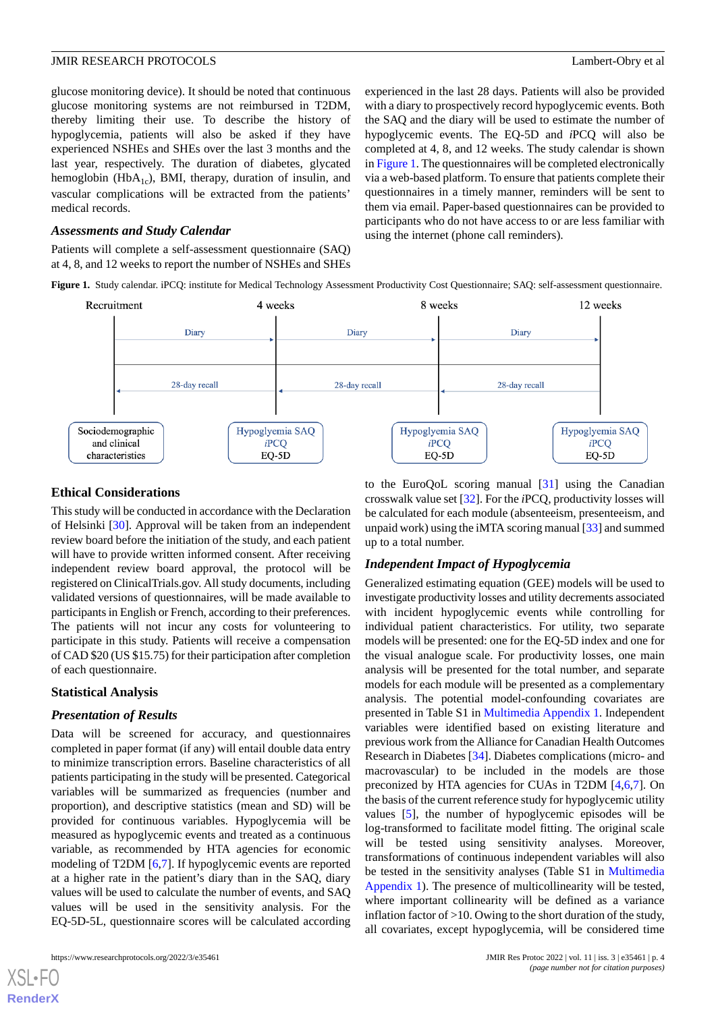glucose monitoring device). It should be noted that continuous glucose monitoring systems are not reimbursed in T2DM, thereby limiting their use. To describe the history of hypoglycemia, patients will also be asked if they have experienced NSHEs and SHEs over the last 3 months and the last year, respectively. The duration of diabetes, glycated hemoglobin (Hb $A_{1c}$ ), BMI, therapy, duration of insulin, and vascular complications will be extracted from the patients' medical records.

#### *Assessments and Study Calendar*

<span id="page-3-0"></span>Patients will complete a self-assessment questionnaire (SAQ) at 4, 8, and 12 weeks to report the number of NSHEs and SHEs experienced in the last 28 days. Patients will also be provided with a diary to prospectively record hypoglycemic events. Both the SAQ and the diary will be used to estimate the number of hypoglycemic events. The EQ-5D and *i*PCQ will also be completed at 4, 8, and 12 weeks. The study calendar is shown in [Figure 1](#page-3-0). The questionnaires will be completed electronically via a web-based platform. To ensure that patients complete their questionnaires in a timely manner, reminders will be sent to them via email. Paper-based questionnaires can be provided to participants who do not have access to or are less familiar with using the internet (phone call reminders).

**Figure 1.** Study calendar. iPCQ: institute for Medical Technology Assessment Productivity Cost Questionnaire; SAQ: self-assessment questionnaire.



#### **Ethical Considerations**

This study will be conducted in accordance with the Declaration of Helsinki [[30\]](#page-8-9). Approval will be taken from an independent review board before the initiation of the study, and each patient will have to provide written informed consent. After receiving independent review board approval, the protocol will be registered on ClinicalTrials.gov. All study documents, including validated versions of questionnaires, will be made available to participants in English or French, according to their preferences. The patients will not incur any costs for volunteering to participate in this study. Patients will receive a compensation of CAD \$20 (US \$15.75) for their participation after completion of each questionnaire.

#### **Statistical Analysis**

#### *Presentation of Results*

Data will be screened for accuracy, and questionnaires completed in paper format (if any) will entail double data entry to minimize transcription errors. Baseline characteristics of all patients participating in the study will be presented. Categorical variables will be summarized as frequencies (number and proportion), and descriptive statistics (mean and SD) will be provided for continuous variables. Hypoglycemia will be measured as hypoglycemic events and treated as a continuous variable, as recommended by HTA agencies for economic modeling of T2DM [[6,](#page-7-5)[7](#page-7-6)]. If hypoglycemic events are reported at a higher rate in the patient's diary than in the SAQ, diary values will be used to calculate the number of events, and SAQ values will be used in the sensitivity analysis. For the EQ-5D-5L, questionnaire scores will be calculated according

[XSL](http://www.w3.org/Style/XSL)•FO **[RenderX](http://www.renderx.com/)**

to the EuroQoL scoring manual [\[31](#page-8-10)] using the Canadian crosswalk value set [[32\]](#page-8-11). For the *i*PCQ, productivity losses will be calculated for each module (absenteeism, presenteeism, and unpaid work) using the iMTA scoring manual [[33\]](#page-8-12) and summed up to a total number.

#### *Independent Impact of Hypoglycemia*

Generalized estimating equation (GEE) models will be used to investigate productivity losses and utility decrements associated with incident hypoglycemic events while controlling for individual patient characteristics. For utility, two separate models will be presented: one for the EQ-5D index and one for the visual analogue scale. For productivity losses, one main analysis will be presented for the total number, and separate models for each module will be presented as a complementary analysis. The potential model-confounding covariates are presented in Table S1 in [Multimedia Appendix 1](#page-7-17). Independent variables were identified based on existing literature and previous work from the Alliance for Canadian Health Outcomes Research in Diabetes [[34\]](#page-8-13). Diabetes complications (micro- and macrovascular) to be included in the models are those preconized by HTA agencies for CUAs in T2DM [[4](#page-7-3)[,6](#page-7-5)[,7\]](#page-7-6). On the basis of the current reference study for hypoglycemic utility values [[5\]](#page-7-4), the number of hypoglycemic episodes will be log-transformed to facilitate model fitting. The original scale will be tested using sensitivity analyses. Moreover, transformations of continuous independent variables will also be tested in the sensitivity analyses (Table S1 in [Multimedia](#page-7-17) [Appendix 1\)](#page-7-17). The presence of multicollinearity will be tested, where important collinearity will be defined as a variance inflation factor of >10. Owing to the short duration of the study, all covariates, except hypoglycemia, will be considered time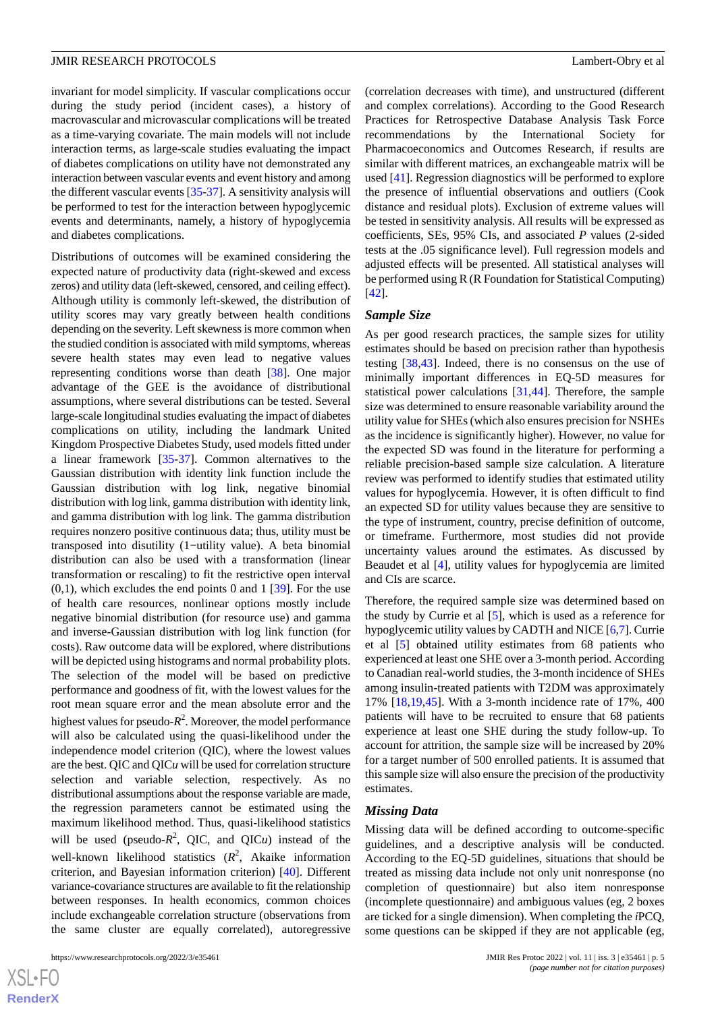invariant for model simplicity. If vascular complications occur during the study period (incident cases), a history of macrovascular and microvascular complications will be treated as a time-varying covariate. The main models will not include interaction terms, as large-scale studies evaluating the impact of diabetes complications on utility have not demonstrated any interaction between vascular events and event history and among the different vascular events [\[35](#page-8-14)-[37\]](#page-8-15). A sensitivity analysis will be performed to test for the interaction between hypoglycemic events and determinants, namely, a history of hypoglycemia and diabetes complications.

Distributions of outcomes will be examined considering the expected nature of productivity data (right-skewed and excess zeros) and utility data (left-skewed, censored, and ceiling effect). Although utility is commonly left-skewed, the distribution of utility scores may vary greatly between health conditions depending on the severity. Left skewness is more common when the studied condition is associated with mild symptoms, whereas severe health states may even lead to negative values representing conditions worse than death [[38\]](#page-8-16). One major advantage of the GEE is the avoidance of distributional assumptions, where several distributions can be tested. Several large-scale longitudinal studies evaluating the impact of diabetes complications on utility, including the landmark United Kingdom Prospective Diabetes Study, used models fitted under a linear framework [[35](#page-8-14)[-37](#page-8-15)]. Common alternatives to the Gaussian distribution with identity link function include the Gaussian distribution with log link, negative binomial distribution with log link, gamma distribution with identity link, and gamma distribution with log link. The gamma distribution requires nonzero positive continuous data; thus, utility must be transposed into disutility (1−utility value). A beta binomial distribution can also be used with a transformation (linear transformation or rescaling) to fit the restrictive open interval  $(0,1)$ , which excludes the end points 0 and 1 [[39\]](#page-8-17). For the use of health care resources, nonlinear options mostly include negative binomial distribution (for resource use) and gamma and inverse-Gaussian distribution with log link function (for costs). Raw outcome data will be explored, where distributions will be depicted using histograms and normal probability plots. The selection of the model will be based on predictive performance and goodness of fit, with the lowest values for the root mean square error and the mean absolute error and the highest values for pseudo-*R* 2 . Moreover, the model performance will also be calculated using the quasi-likelihood under the independence model criterion (QIC), where the lowest values are the best. QIC and QIC*u* will be used for correlation structure selection and variable selection, respectively. As no distributional assumptions about the response variable are made, the regression parameters cannot be estimated using the maximum likelihood method. Thus, quasi-likelihood statistics will be used (pseudo- $R^2$ , QIC, and QICu) instead of the well-known likelihood statistics (*R* 2 , Akaike information criterion, and Bayesian information criterion) [[40\]](#page-9-0). Different variance-covariance structures are available to fit the relationship between responses. In health economics, common choices include exchangeable correlation structure (observations from the same cluster are equally correlated), autoregressive

 $XSJ \cdot F$ **[RenderX](http://www.renderx.com/)** (correlation decreases with time), and unstructured (different and complex correlations). According to the Good Research Practices for Retrospective Database Analysis Task Force recommendations by the International Society for Pharmacoeconomics and Outcomes Research, if results are similar with different matrices, an exchangeable matrix will be used [[41\]](#page-9-1). Regression diagnostics will be performed to explore the presence of influential observations and outliers (Cook distance and residual plots). Exclusion of extreme values will be tested in sensitivity analysis. All results will be expressed as coefficients, SEs, 95% CIs, and associated *P* values (2-sided tests at the .05 significance level). Full regression models and adjusted effects will be presented. All statistical analyses will be performed using R (R Foundation for Statistical Computing) [[42\]](#page-9-2).

#### *Sample Size*

As per good research practices, the sample sizes for utility estimates should be based on precision rather than hypothesis testing [[38,](#page-8-16)[43](#page-9-3)]. Indeed, there is no consensus on the use of minimally important differences in EQ-5D measures for statistical power calculations [[31,](#page-8-10)[44](#page-9-4)]. Therefore, the sample size was determined to ensure reasonable variability around the utility value for SHEs (which also ensures precision for NSHEs as the incidence is significantly higher). However, no value for the expected SD was found in the literature for performing a reliable precision-based sample size calculation. A literature review was performed to identify studies that estimated utility values for hypoglycemia. However, it is often difficult to find an expected SD for utility values because they are sensitive to the type of instrument, country, precise definition of outcome, or timeframe. Furthermore, most studies did not provide uncertainty values around the estimates. As discussed by Beaudet et al [\[4](#page-7-3)], utility values for hypoglycemia are limited and CIs are scarce.

Therefore, the required sample size was determined based on the study by Currie et al [\[5](#page-7-4)], which is used as a reference for hypoglycemic utility values by CADTH and NICE [\[6](#page-7-5),[7\]](#page-7-6). Currie et al [\[5](#page-7-4)] obtained utility estimates from 68 patients who experienced at least one SHE over a 3-month period. According to Canadian real-world studies, the 3-month incidence of SHEs among insulin-treated patients with T2DM was approximately 17% [[18](#page-7-16)[,19](#page-8-0),[45\]](#page-9-5). With a 3-month incidence rate of 17%, 400 patients will have to be recruited to ensure that 68 patients experience at least one SHE during the study follow-up. To account for attrition, the sample size will be increased by 20% for a target number of 500 enrolled patients. It is assumed that this sample size will also ensure the precision of the productivity estimates.

#### *Missing Data*

Missing data will be defined according to outcome-specific guidelines, and a descriptive analysis will be conducted. According to the EQ-5D guidelines, situations that should be treated as missing data include not only unit nonresponse (no completion of questionnaire) but also item nonresponse (incomplete questionnaire) and ambiguous values (eg, 2 boxes are ticked for a single dimension). When completing the *i*PCQ, some questions can be skipped if they are not applicable (eg,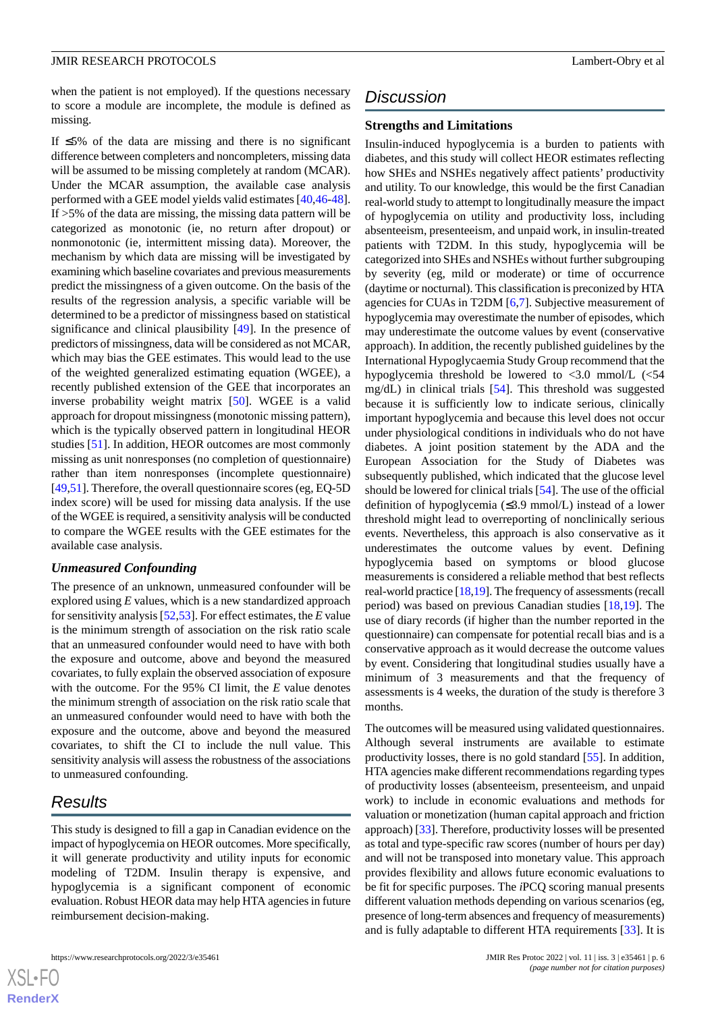when the patient is not employed). If the questions necessary to score a module are incomplete, the module is defined as missing.

If ≤5% of the data are missing and there is no significant difference between completers and noncompleters, missing data will be assumed to be missing completely at random (MCAR). Under the MCAR assumption, the available case analysis performed with a GEE model yields valid estimates [[40](#page-9-0)[,46](#page-9-6)-[48\]](#page-9-7). If >5% of the data are missing, the missing data pattern will be categorized as monotonic (ie, no return after dropout) or nonmonotonic (ie, intermittent missing data). Moreover, the mechanism by which data are missing will be investigated by examining which baseline covariates and previous measurements predict the missingness of a given outcome. On the basis of the results of the regression analysis, a specific variable will be determined to be a predictor of missingness based on statistical significance and clinical plausibility [\[49](#page-9-8)]. In the presence of predictors of missingness, data will be considered as not MCAR, which may bias the GEE estimates. This would lead to the use of the weighted generalized estimating equation (WGEE), a recently published extension of the GEE that incorporates an inverse probability weight matrix [[50\]](#page-9-9). WGEE is a valid approach for dropout missingness (monotonic missing pattern), which is the typically observed pattern in longitudinal HEOR studies [[51\]](#page-9-10). In addition, HEOR outcomes are most commonly missing as unit nonresponses (no completion of questionnaire) rather than item nonresponses (incomplete questionnaire) [[49](#page-9-8)[,51](#page-9-10)]. Therefore, the overall questionnaire scores (eg, EQ-5D index score) will be used for missing data analysis. If the use of the WGEE is required, a sensitivity analysis will be conducted to compare the WGEE results with the GEE estimates for the available case analysis.

#### *Unmeasured Confounding*

The presence of an unknown, unmeasured confounder will be explored using *E* values, which is a new standardized approach for sensitivity analysis [\[52](#page-9-11),[53\]](#page-9-12). For effect estimates, the *E* value is the minimum strength of association on the risk ratio scale that an unmeasured confounder would need to have with both the exposure and outcome, above and beyond the measured covariates, to fully explain the observed association of exposure with the outcome. For the 95% CI limit, the *E* value denotes the minimum strength of association on the risk ratio scale that an unmeasured confounder would need to have with both the exposure and the outcome, above and beyond the measured covariates, to shift the CI to include the null value. This sensitivity analysis will assess the robustness of the associations to unmeasured confounding.

# *Results*

 $XSI - F($ **[RenderX](http://www.renderx.com/)**

This study is designed to fill a gap in Canadian evidence on the impact of hypoglycemia on HEOR outcomes. More specifically, it will generate productivity and utility inputs for economic modeling of T2DM. Insulin therapy is expensive, and hypoglycemia is a significant component of economic evaluation. Robust HEOR data may help HTA agencies in future reimbursement decision-making.

# *Discussion*

#### **Strengths and Limitations**

Insulin-induced hypoglycemia is a burden to patients with diabetes, and this study will collect HEOR estimates reflecting how SHEs and NSHEs negatively affect patients' productivity and utility. To our knowledge, this would be the first Canadian real-world study to attempt to longitudinally measure the impact of hypoglycemia on utility and productivity loss, including absenteeism, presenteeism, and unpaid work, in insulin-treated patients with T2DM. In this study, hypoglycemia will be categorized into SHEs and NSHEs without further subgrouping by severity (eg, mild or moderate) or time of occurrence (daytime or nocturnal). This classification is preconized by HTA agencies for CUAs in T2DM [\[6](#page-7-5),[7\]](#page-7-6). Subjective measurement of hypoglycemia may overestimate the number of episodes, which may underestimate the outcome values by event (conservative approach). In addition, the recently published guidelines by the International Hypoglycaemia Study Group recommend that the hypoglycemia threshold be lowered to  $\langle 3.0 \text{ mmol/L } \langle \langle 54 \rangle$ mg/dL) in clinical trials [[54\]](#page-9-13). This threshold was suggested because it is sufficiently low to indicate serious, clinically important hypoglycemia and because this level does not occur under physiological conditions in individuals who do not have diabetes. A joint position statement by the ADA and the European Association for the Study of Diabetes was subsequently published, which indicated that the glucose level should be lowered for clinical trials [[54\]](#page-9-13). The use of the official definition of hypoglycemia (≤3.9 mmol/L) instead of a lower threshold might lead to overreporting of nonclinically serious events. Nevertheless, this approach is also conservative as it underestimates the outcome values by event. Defining hypoglycemia based on symptoms or blood glucose measurements is considered a reliable method that best reflects real-world practice [[18,](#page-7-16)[19\]](#page-8-0). The frequency of assessments (recall period) was based on previous Canadian studies [[18,](#page-7-16)[19](#page-8-0)]. The use of diary records (if higher than the number reported in the questionnaire) can compensate for potential recall bias and is a conservative approach as it would decrease the outcome values by event. Considering that longitudinal studies usually have a minimum of 3 measurements and that the frequency of assessments is 4 weeks, the duration of the study is therefore 3 months.

The outcomes will be measured using validated questionnaires. Although several instruments are available to estimate productivity losses, there is no gold standard [\[55](#page-9-14)]. In addition, HTA agencies make different recommendations regarding types of productivity losses (absenteeism, presenteeism, and unpaid work) to include in economic evaluations and methods for valuation or monetization (human capital approach and friction approach) [[33\]](#page-8-12). Therefore, productivity losses will be presented as total and type-specific raw scores (number of hours per day) and will not be transposed into monetary value. This approach provides flexibility and allows future economic evaluations to be fit for specific purposes. The *i*PCQ scoring manual presents different valuation methods depending on various scenarios (eg, presence of long-term absences and frequency of measurements) and is fully adaptable to different HTA requirements [\[33](#page-8-12)]. It is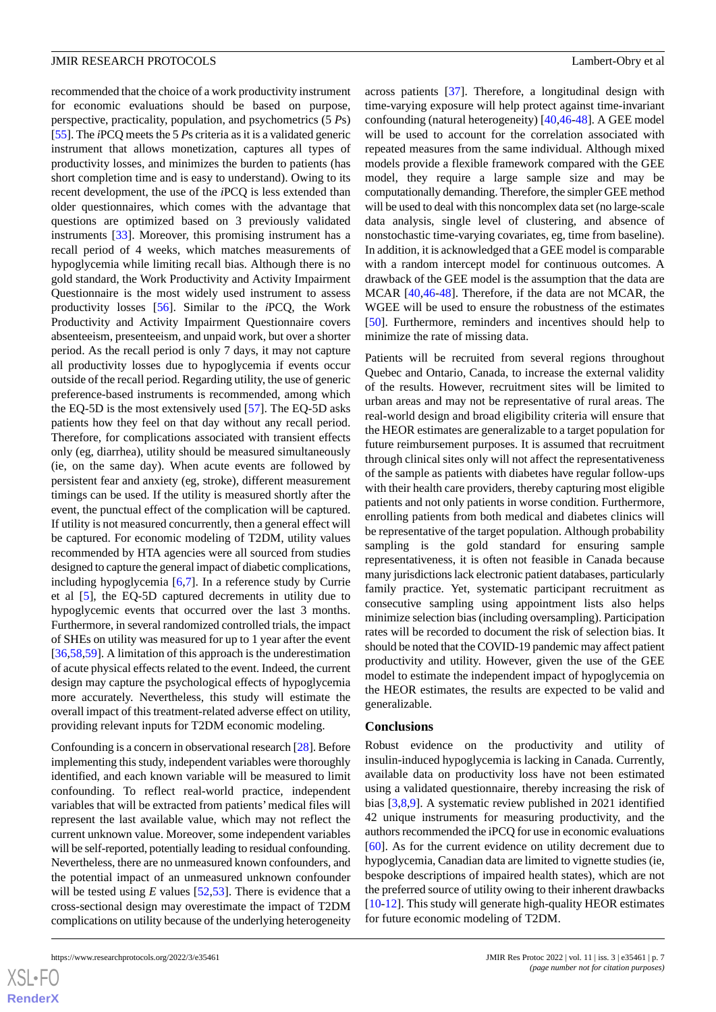recommended that the choice of a work productivity instrument for economic evaluations should be based on purpose, perspective, practicality, population, and psychometrics (5 *P*s) [[55\]](#page-9-14). The *i*PCQ meets the 5 *P*s criteria as it is a validated generic instrument that allows monetization, captures all types of productivity losses, and minimizes the burden to patients (has short completion time and is easy to understand). Owing to its recent development, the use of the *i*PCQ is less extended than older questionnaires, which comes with the advantage that questions are optimized based on 3 previously validated instruments [\[33](#page-8-12)]. Moreover, this promising instrument has a recall period of 4 weeks, which matches measurements of hypoglycemia while limiting recall bias. Although there is no gold standard, the Work Productivity and Activity Impairment Questionnaire is the most widely used instrument to assess productivity losses [[56\]](#page-9-15). Similar to the *i*PCQ, the Work Productivity and Activity Impairment Questionnaire covers absenteeism, presenteeism, and unpaid work, but over a shorter period. As the recall period is only 7 days, it may not capture all productivity losses due to hypoglycemia if events occur outside of the recall period. Regarding utility, the use of generic preference-based instruments is recommended, among which the EQ-5D is the most extensively used [\[57](#page-9-16)]. The EQ-5D asks patients how they feel on that day without any recall period. Therefore, for complications associated with transient effects only (eg, diarrhea), utility should be measured simultaneously (ie, on the same day). When acute events are followed by persistent fear and anxiety (eg, stroke), different measurement timings can be used. If the utility is measured shortly after the event, the punctual effect of the complication will be captured. If utility is not measured concurrently, then a general effect will be captured. For economic modeling of T2DM, utility values recommended by HTA agencies were all sourced from studies designed to capture the general impact of diabetic complications, including hypoglycemia [[6,](#page-7-5)[7](#page-7-6)]. In a reference study by Currie et al [\[5](#page-7-4)], the EQ-5D captured decrements in utility due to hypoglycemic events that occurred over the last 3 months. Furthermore, in several randomized controlled trials, the impact of SHEs on utility was measured for up to 1 year after the event [[36](#page-8-18)[,58](#page-9-17),[59\]](#page-9-18). A limitation of this approach is the underestimation of acute physical effects related to the event. Indeed, the current design may capture the psychological effects of hypoglycemia more accurately. Nevertheless, this study will estimate the overall impact of this treatment-related adverse effect on utility, providing relevant inputs for T2DM economic modeling.

Confounding is a concern in observational research [\[28](#page-8-7)]. Before implementing this study, independent variables were thoroughly identified, and each known variable will be measured to limit confounding. To reflect real-world practice, independent variables that will be extracted from patients'medical files will represent the last available value, which may not reflect the current unknown value. Moreover, some independent variables will be self-reported, potentially leading to residual confounding. Nevertheless, there are no unmeasured known confounders, and the potential impact of an unmeasured unknown confounder will be tested using  $E$  values  $[52,53]$  $[52,53]$  $[52,53]$ . There is evidence that a cross-sectional design may overestimate the impact of T2DM complications on utility because of the underlying heterogeneity

across patients [\[37](#page-8-15)]. Therefore, a longitudinal design with time-varying exposure will help protect against time-invariant confounding (natural heterogeneity) [[40](#page-9-0)[,46](#page-9-6)-[48\]](#page-9-7). A GEE model will be used to account for the correlation associated with repeated measures from the same individual. Although mixed models provide a flexible framework compared with the GEE model, they require a large sample size and may be computationally demanding. Therefore, the simpler GEE method will be used to deal with this noncomplex data set (no large-scale data analysis, single level of clustering, and absence of nonstochastic time-varying covariates, eg, time from baseline). In addition, it is acknowledged that a GEE model is comparable with a random intercept model for continuous outcomes. A drawback of the GEE model is the assumption that the data are MCAR [[40,](#page-9-0)[46](#page-9-6)[-48](#page-9-7)]. Therefore, if the data are not MCAR, the WGEE will be used to ensure the robustness of the estimates [[50\]](#page-9-9). Furthermore, reminders and incentives should help to minimize the rate of missing data.

Patients will be recruited from several regions throughout Quebec and Ontario, Canada, to increase the external validity of the results. However, recruitment sites will be limited to urban areas and may not be representative of rural areas. The real-world design and broad eligibility criteria will ensure that the HEOR estimates are generalizable to a target population for future reimbursement purposes. It is assumed that recruitment through clinical sites only will not affect the representativeness of the sample as patients with diabetes have regular follow-ups with their health care providers, thereby capturing most eligible patients and not only patients in worse condition. Furthermore, enrolling patients from both medical and diabetes clinics will be representative of the target population. Although probability sampling is the gold standard for ensuring sample representativeness, it is often not feasible in Canada because many jurisdictions lack electronic patient databases, particularly family practice. Yet, systematic participant recruitment as consecutive sampling using appointment lists also helps minimize selection bias (including oversampling). Participation rates will be recorded to document the risk of selection bias. It should be noted that the COVID-19 pandemic may affect patient productivity and utility. However, given the use of the GEE model to estimate the independent impact of hypoglycemia on the HEOR estimates, the results are expected to be valid and generalizable.

#### **Conclusions**

Robust evidence on the productivity and utility of insulin-induced hypoglycemia is lacking in Canada. Currently, available data on productivity loss have not been estimated using a validated questionnaire, thereby increasing the risk of bias [[3](#page-7-2)[,8](#page-7-7),[9\]](#page-7-8). A systematic review published in 2021 identified 42 unique instruments for measuring productivity, and the authors recommended the iPCQ for use in economic evaluations [[60\]](#page-9-19). As for the current evidence on utility decrement due to hypoglycemia, Canadian data are limited to vignette studies (ie, bespoke descriptions of impaired health states), which are not the preferred source of utility owing to their inherent drawbacks [[10](#page-7-9)[-12](#page-7-11)]. This study will generate high-quality HEOR estimates for future economic modeling of T2DM.



 $XS$  • FC **[RenderX](http://www.renderx.com/)**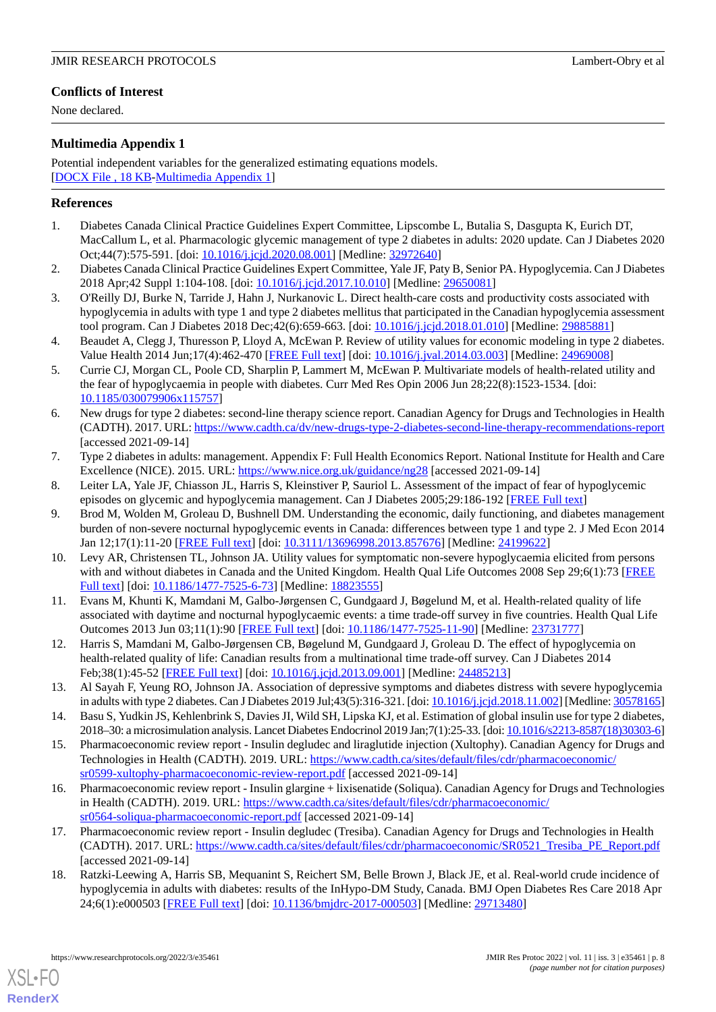# **Conflicts of Interest**

None declared.

# <span id="page-7-17"></span>**Multimedia Appendix 1**

Potential independent variables for the generalized estimating equations models. [[DOCX File , 18 KB](https://jmir.org/api/download?alt_name=resprot_v11i3e35461_app1.docx&filename=823083fa774692d70194d3c99dc46cff.docx)-[Multimedia Appendix 1\]](https://jmir.org/api/download?alt_name=resprot_v11i3e35461_app1.docx&filename=823083fa774692d70194d3c99dc46cff.docx)

#### <span id="page-7-0"></span>**References**

- <span id="page-7-1"></span>1. Diabetes Canada Clinical Practice Guidelines Expert Committee, Lipscombe L, Butalia S, Dasgupta K, Eurich DT, MacCallum L, et al. Pharmacologic glycemic management of type 2 diabetes in adults: 2020 update. Can J Diabetes 2020 Oct;44(7):575-591. [doi: [10.1016/j.jcjd.2020.08.001\]](http://dx.doi.org/10.1016/j.jcjd.2020.08.001) [Medline: [32972640\]](http://www.ncbi.nlm.nih.gov/entrez/query.fcgi?cmd=Retrieve&db=PubMed&list_uids=32972640&dopt=Abstract)
- <span id="page-7-2"></span>2. Diabetes Canada Clinical Practice Guidelines Expert Committee, Yale JF, Paty B, Senior PA. Hypoglycemia. Can J Diabetes 2018 Apr;42 Suppl 1:104-108. [doi: [10.1016/j.jcjd.2017.10.010](http://dx.doi.org/10.1016/j.jcjd.2017.10.010)] [Medline: [29650081](http://www.ncbi.nlm.nih.gov/entrez/query.fcgi?cmd=Retrieve&db=PubMed&list_uids=29650081&dopt=Abstract)]
- <span id="page-7-3"></span>3. O'Reilly DJ, Burke N, Tarride J, Hahn J, Nurkanovic L. Direct health-care costs and productivity costs associated with hypoglycemia in adults with type 1 and type 2 diabetes mellitus that participated in the Canadian hypoglycemia assessment tool program. Can J Diabetes 2018 Dec;42(6):659-663. [doi: [10.1016/j.jcjd.2018.01.010\]](http://dx.doi.org/10.1016/j.jcjd.2018.01.010) [Medline: [29885881](http://www.ncbi.nlm.nih.gov/entrez/query.fcgi?cmd=Retrieve&db=PubMed&list_uids=29885881&dopt=Abstract)]
- <span id="page-7-4"></span>4. Beaudet A, Clegg J, Thuresson P, Lloyd A, McEwan P. Review of utility values for economic modeling in type 2 diabetes. Value Health 2014 Jun;17(4):462-470 [[FREE Full text](https://linkinghub.elsevier.com/retrieve/pii/S1098-3015(14)00054-0)] [doi: [10.1016/j.jval.2014.03.003](http://dx.doi.org/10.1016/j.jval.2014.03.003)] [Medline: [24969008\]](http://www.ncbi.nlm.nih.gov/entrez/query.fcgi?cmd=Retrieve&db=PubMed&list_uids=24969008&dopt=Abstract)
- <span id="page-7-5"></span>5. Currie CJ, Morgan CL, Poole CD, Sharplin P, Lammert M, McEwan P. Multivariate models of health-related utility and the fear of hypoglycaemia in people with diabetes. Curr Med Res Opin 2006 Jun 28;22(8):1523-1534. [doi: [10.1185/030079906x115757\]](http://dx.doi.org/10.1185/030079906x115757)
- <span id="page-7-6"></span>6. New drugs for type 2 diabetes: second-line therapy science report. Canadian Agency for Drugs and Technologies in Health (CADTH). 2017. URL:<https://www.cadth.ca/dv/new-drugs-type-2-diabetes-second-line-therapy-recommendations-report> [accessed 2021-09-14]
- <span id="page-7-8"></span><span id="page-7-7"></span>7. Type 2 diabetes in adults: management. Appendix F: Full Health Economics Report. National Institute for Health and Care Excellence (NICE). 2015. URL:<https://www.nice.org.uk/guidance/ng28> [accessed 2021-09-14]
- 8. Leiter LA, Yale JF, Chiasson JL, Harris S, Kleinstiver P, Sauriol L. Assessment of the impact of fear of hypoglycemic episodes on glycemic and hypoglycemia management. Can J Diabetes 2005;29:186-192 [\[FREE Full text\]](https://www.researchgate.net/publication/313224011_Assessment_of_the_impact_of_fear_of_hypoglycemic_episodes_on_glycemic_and_hypoglycemic_management)
- <span id="page-7-9"></span>9. Brod M, Wolden M, Groleau D, Bushnell DM. Understanding the economic, daily functioning, and diabetes management burden of non-severe nocturnal hypoglycemic events in Canada: differences between type 1 and type 2. J Med Econ 2014 Jan 12;17(1):11-20 [[FREE Full text](https://www.tandfonline.com/doi/full/10.3111/13696998.2013.857676)] [doi: [10.3111/13696998.2013.857676\]](http://dx.doi.org/10.3111/13696998.2013.857676) [Medline: [24199622](http://www.ncbi.nlm.nih.gov/entrez/query.fcgi?cmd=Retrieve&db=PubMed&list_uids=24199622&dopt=Abstract)]
- <span id="page-7-10"></span>10. Levy AR, Christensen TL, Johnson JA. Utility values for symptomatic non-severe hypoglycaemia elicited from persons with and without diabetes in Canada and the United Kingdom. Health Qual Life Outcomes 2008 Sep 29;6(1):73 [\[FREE](https://hqlo.biomedcentral.com/articles/10.1186/1477-7525-6-73) [Full text\]](https://hqlo.biomedcentral.com/articles/10.1186/1477-7525-6-73) [doi: [10.1186/1477-7525-6-73\]](http://dx.doi.org/10.1186/1477-7525-6-73) [Medline: [18823555](http://www.ncbi.nlm.nih.gov/entrez/query.fcgi?cmd=Retrieve&db=PubMed&list_uids=18823555&dopt=Abstract)]
- <span id="page-7-12"></span><span id="page-7-11"></span>11. Evans M, Khunti K, Mamdani M, Galbo-Jørgensen C, Gundgaard J, Bøgelund M, et al. Health-related quality of life associated with daytime and nocturnal hypoglycaemic events: a time trade-off survey in five countries. Health Qual Life Outcomes 2013 Jun 03;11(1):90 [[FREE Full text\]](https://hqlo.biomedcentral.com/articles/10.1186/1477-7525-11-90) [doi: [10.1186/1477-7525-11-90](http://dx.doi.org/10.1186/1477-7525-11-90)] [Medline: [23731777](http://www.ncbi.nlm.nih.gov/entrez/query.fcgi?cmd=Retrieve&db=PubMed&list_uids=23731777&dopt=Abstract)]
- <span id="page-7-13"></span>12. Harris S, Mamdani M, Galbo-Jørgensen CB, Bøgelund M, Gundgaard J, Groleau D. The effect of hypoglycemia on health-related quality of life: Canadian results from a multinational time trade-off survey. Can J Diabetes 2014 Feb;38(1):45-52 [[FREE Full text](https://linkinghub.elsevier.com/retrieve/pii/S1499-2671(13)01254-9)] [doi: [10.1016/j.jcjd.2013.09.001\]](http://dx.doi.org/10.1016/j.jcjd.2013.09.001) [Medline: [24485213](http://www.ncbi.nlm.nih.gov/entrez/query.fcgi?cmd=Retrieve&db=PubMed&list_uids=24485213&dopt=Abstract)]
- <span id="page-7-14"></span>13. Al Sayah F, Yeung RO, Johnson JA. Association of depressive symptoms and diabetes distress with severe hypoglycemia in adults with type 2 diabetes. Can J Diabetes 2019 Jul;43(5):316-321. [doi: [10.1016/j.jcjd.2018.11.002\]](http://dx.doi.org/10.1016/j.jcjd.2018.11.002) [Medline: [30578165\]](http://www.ncbi.nlm.nih.gov/entrez/query.fcgi?cmd=Retrieve&db=PubMed&list_uids=30578165&dopt=Abstract)
- 14. Basu S, Yudkin JS, Kehlenbrink S, Davies JI, Wild SH, Lipska KJ, et al. Estimation of global insulin use for type 2 diabetes, 2018–30: a microsimulation analysis. Lancet Diabetes Endocrinol 2019 Jan;7(1):25-33. [doi: [10.1016/s2213-8587\(18\)30303-6\]](http://dx.doi.org/10.1016/s2213-8587(18)30303-6)
- <span id="page-7-15"></span>15. Pharmacoeconomic review report - Insulin degludec and liraglutide injection (Xultophy). Canadian Agency for Drugs and Technologies in Health (CADTH). 2019. URL: [https://www.cadth.ca/sites/default/files/cdr/pharmacoeconomic/](https://www.cadth.ca/sites/default/files/cdr/pharmacoeconomic/sr0599-xultophy-pharmacoeconomic-review-report.pdf) [sr0599-xultophy-pharmacoeconomic-review-report.pdf](https://www.cadth.ca/sites/default/files/cdr/pharmacoeconomic/sr0599-xultophy-pharmacoeconomic-review-report.pdf) [accessed 2021-09-14]
- <span id="page-7-16"></span>16. Pharmacoeconomic review report - Insulin glargine + lixisenatide (Soliqua). Canadian Agency for Drugs and Technologies in Health (CADTH). 2019. URL: [https://www.cadth.ca/sites/default/files/cdr/pharmacoeconomic/](https://www.cadth.ca/sites/default/files/cdr/pharmacoeconomic/sr0564-soliqua-pharmacoeconomic-report.pdf) [sr0564-soliqua-pharmacoeconomic-report.pdf](https://www.cadth.ca/sites/default/files/cdr/pharmacoeconomic/sr0564-soliqua-pharmacoeconomic-report.pdf) [accessed 2021-09-14]
- 17. Pharmacoeconomic review report Insulin degludec (Tresiba). Canadian Agency for Drugs and Technologies in Health (CADTH). 2017. URL: [https://www.cadth.ca/sites/default/files/cdr/pharmacoeconomic/SR0521\\_Tresiba\\_PE\\_Report.pdf](https://www.cadth.ca/sites/default/files/cdr/pharmacoeconomic/SR0521_Tresiba_PE_Report.pdf) [accessed 2021-09-14]
- 18. Ratzki-Leewing A, Harris SB, Mequanint S, Reichert SM, Belle Brown J, Black JE, et al. Real-world crude incidence of hypoglycemia in adults with diabetes: results of the InHypo-DM Study, Canada. BMJ Open Diabetes Res Care 2018 Apr 24;6(1):e000503 [\[FREE Full text](https://drc.bmj.com/lookup/pmidlookup?view=long&pmid=29713480)] [doi: [10.1136/bmjdrc-2017-000503\]](http://dx.doi.org/10.1136/bmjdrc-2017-000503) [Medline: [29713480\]](http://www.ncbi.nlm.nih.gov/entrez/query.fcgi?cmd=Retrieve&db=PubMed&list_uids=29713480&dopt=Abstract)

[XSL](http://www.w3.org/Style/XSL)•FO **[RenderX](http://www.renderx.com/)**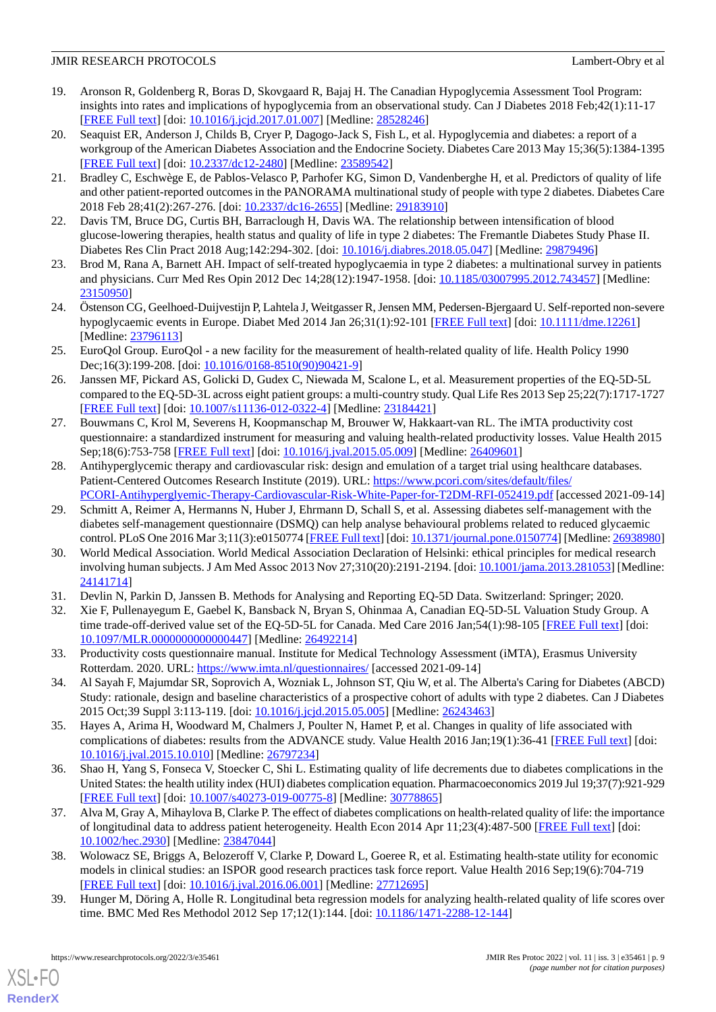- <span id="page-8-0"></span>19. Aronson R, Goldenberg R, Boras D, Skovgaard R, Bajaj H. The Canadian Hypoglycemia Assessment Tool Program: insights into rates and implications of hypoglycemia from an observational study. Can J Diabetes 2018 Feb;42(1):11-17 [[FREE Full text](https://linkinghub.elsevier.com/retrieve/pii/S1499-2671(16)30781-X)] [doi: [10.1016/j.jcjd.2017.01.007\]](http://dx.doi.org/10.1016/j.jcjd.2017.01.007) [Medline: [28528246](http://www.ncbi.nlm.nih.gov/entrez/query.fcgi?cmd=Retrieve&db=PubMed&list_uids=28528246&dopt=Abstract)]
- <span id="page-8-1"></span>20. Seaquist ER, Anderson J, Childs B, Cryer P, Dagogo-Jack S, Fish L, et al. Hypoglycemia and diabetes: a report of a workgroup of the American Diabetes Association and the Endocrine Society. Diabetes Care 2013 May 15;36(5):1384-1395 [[FREE Full text](http://europepmc.org/abstract/MED/23589542)] [doi: [10.2337/dc12-2480\]](http://dx.doi.org/10.2337/dc12-2480) [Medline: [23589542](http://www.ncbi.nlm.nih.gov/entrez/query.fcgi?cmd=Retrieve&db=PubMed&list_uids=23589542&dopt=Abstract)]
- <span id="page-8-2"></span>21. Bradley C, Eschwège E, de Pablos-Velasco P, Parhofer KG, Simon D, Vandenberghe H, et al. Predictors of quality of life and other patient-reported outcomes in the PANORAMA multinational study of people with type 2 diabetes. Diabetes Care 2018 Feb 28;41(2):267-276. [doi: [10.2337/dc16-2655\]](http://dx.doi.org/10.2337/dc16-2655) [Medline: [29183910](http://www.ncbi.nlm.nih.gov/entrez/query.fcgi?cmd=Retrieve&db=PubMed&list_uids=29183910&dopt=Abstract)]
- 22. Davis TM, Bruce DG, Curtis BH, Barraclough H, Davis WA. The relationship between intensification of blood glucose-lowering therapies, health status and quality of life in type 2 diabetes: The Fremantle Diabetes Study Phase II. Diabetes Res Clin Pract 2018 Aug;142:294-302. [doi: [10.1016/j.diabres.2018.05.047](http://dx.doi.org/10.1016/j.diabres.2018.05.047)] [Medline: [29879496](http://www.ncbi.nlm.nih.gov/entrez/query.fcgi?cmd=Retrieve&db=PubMed&list_uids=29879496&dopt=Abstract)]
- <span id="page-8-3"></span>23. Brod M, Rana A, Barnett AH. Impact of self-treated hypoglycaemia in type 2 diabetes: a multinational survey in patients and physicians. Curr Med Res Opin 2012 Dec 14;28(12):1947-1958. [doi: [10.1185/03007995.2012.743457\]](http://dx.doi.org/10.1185/03007995.2012.743457) [Medline: [23150950](http://www.ncbi.nlm.nih.gov/entrez/query.fcgi?cmd=Retrieve&db=PubMed&list_uids=23150950&dopt=Abstract)]
- <span id="page-8-4"></span>24. Östenson CG, Geelhoed-Duijvestijn P, Lahtela J, Weitgasser R, Jensen MM, Pedersen-Bjergaard U. Self-reported non-severe hypoglycaemic events in Europe. Diabet Med 2014 Jan 26;31(1):92-101 [[FREE Full text](https://doi.org/10.1111/dme.12261)] [doi: [10.1111/dme.12261](http://dx.doi.org/10.1111/dme.12261)] [Medline: [23796113](http://www.ncbi.nlm.nih.gov/entrez/query.fcgi?cmd=Retrieve&db=PubMed&list_uids=23796113&dopt=Abstract)]
- <span id="page-8-5"></span>25. EuroQol Group. EuroQol - a new facility for the measurement of health-related quality of life. Health Policy 1990 Dec;16(3):199-208. [doi: [10.1016/0168-8510\(90\)90421-9](http://dx.doi.org/10.1016/0168-8510(90)90421-9)]
- <span id="page-8-6"></span>26. Janssen MF, Pickard AS, Golicki D, Gudex C, Niewada M, Scalone L, et al. Measurement properties of the EQ-5D-5L compared to the EQ-5D-3L across eight patient groups: a multi-country study. Qual Life Res 2013 Sep 25;22(7):1717-1727 [[FREE Full text](http://europepmc.org/abstract/MED/23184421)] [doi: [10.1007/s11136-012-0322-4\]](http://dx.doi.org/10.1007/s11136-012-0322-4) [Medline: [23184421](http://www.ncbi.nlm.nih.gov/entrez/query.fcgi?cmd=Retrieve&db=PubMed&list_uids=23184421&dopt=Abstract)]
- <span id="page-8-7"></span>27. Bouwmans C, Krol M, Severens H, Koopmanschap M, Brouwer W, Hakkaart-van RL. The iMTA productivity cost questionnaire: a standardized instrument for measuring and valuing health-related productivity losses. Value Health 2015 Sep;18(6):753-758 [[FREE Full text](https://linkinghub.elsevier.com/retrieve/pii/S1098-3015(15)01986-5)] [doi: [10.1016/j.jval.2015.05.009](http://dx.doi.org/10.1016/j.jval.2015.05.009)] [Medline: [26409601](http://www.ncbi.nlm.nih.gov/entrez/query.fcgi?cmd=Retrieve&db=PubMed&list_uids=26409601&dopt=Abstract)]
- <span id="page-8-8"></span>28. Antihyperglycemic therapy and cardiovascular risk: design and emulation of a target trial using healthcare databases. Patient-Centered Outcomes Research Institute (2019). URL: [https://www.pcori.com/sites/default/files/](https://www.pcori.com/sites/default/files/PCORI-Antihyperglyemic-Therapy-Cardiovascular-Risk-White-Paper-for-T2DM-RFI-052419.pdf) [PCORI-Antihyperglyemic-Therapy-Cardiovascular-Risk-White-Paper-for-T2DM-RFI-052419.pdf](https://www.pcori.com/sites/default/files/PCORI-Antihyperglyemic-Therapy-Cardiovascular-Risk-White-Paper-for-T2DM-RFI-052419.pdf) [accessed 2021-09-14]
- <span id="page-8-9"></span>29. Schmitt A, Reimer A, Hermanns N, Huber J, Ehrmann D, Schall S, et al. Assessing diabetes self-management with the diabetes self-management questionnaire (DSMQ) can help analyse behavioural problems related to reduced glycaemic control. PLoS One 2016 Mar 3;11(3):e0150774 [[FREE Full text](https://dx.plos.org/10.1371/journal.pone.0150774)] [doi: [10.1371/journal.pone.0150774\]](http://dx.doi.org/10.1371/journal.pone.0150774) [Medline: [26938980\]](http://www.ncbi.nlm.nih.gov/entrez/query.fcgi?cmd=Retrieve&db=PubMed&list_uids=26938980&dopt=Abstract)
- <span id="page-8-11"></span><span id="page-8-10"></span>30. World Medical Association. World Medical Association Declaration of Helsinki: ethical principles for medical research involving human subjects. J Am Med Assoc 2013 Nov 27;310(20):2191-2194. [doi: [10.1001/jama.2013.281053](http://dx.doi.org/10.1001/jama.2013.281053)] [Medline: [24141714](http://www.ncbi.nlm.nih.gov/entrez/query.fcgi?cmd=Retrieve&db=PubMed&list_uids=24141714&dopt=Abstract)]
- <span id="page-8-12"></span>31. Devlin N, Parkin D, Janssen B. Methods for Analysing and Reporting EQ-5D Data. Switzerland: Springer; 2020.
- <span id="page-8-13"></span>32. Xie F, Pullenayegum E, Gaebel K, Bansback N, Bryan S, Ohinmaa A, Canadian EQ-5D-5L Valuation Study Group. A time trade-off-derived value set of the EQ-5D-5L for Canada. Med Care 2016 Jan;54(1):98-105 [\[FREE Full text\]](http://europepmc.org/abstract/MED/26492214) [doi: [10.1097/MLR.0000000000000447\]](http://dx.doi.org/10.1097/MLR.0000000000000447) [Medline: [26492214\]](http://www.ncbi.nlm.nih.gov/entrez/query.fcgi?cmd=Retrieve&db=PubMed&list_uids=26492214&dopt=Abstract)
- <span id="page-8-14"></span>33. Productivity costs questionnaire manual. Institute for Medical Technology Assessment (iMTA), Erasmus University Rotterdam. 2020. URL:<https://www.imta.nl/questionnaires/> [accessed 2021-09-14]
- <span id="page-8-18"></span>34. Al Sayah F, Majumdar SR, Soprovich A, Wozniak L, Johnson ST, Qiu W, et al. The Alberta's Caring for Diabetes (ABCD) Study: rationale, design and baseline characteristics of a prospective cohort of adults with type 2 diabetes. Can J Diabetes 2015 Oct;39 Suppl 3:113-119. [doi: [10.1016/j.jcjd.2015.05.005](http://dx.doi.org/10.1016/j.jcjd.2015.05.005)] [Medline: [26243463\]](http://www.ncbi.nlm.nih.gov/entrez/query.fcgi?cmd=Retrieve&db=PubMed&list_uids=26243463&dopt=Abstract)
- <span id="page-8-15"></span>35. Hayes A, Arima H, Woodward M, Chalmers J, Poulter N, Hamet P, et al. Changes in quality of life associated with complications of diabetes: results from the ADVANCE study. Value Health 2016 Jan;19(1):36-41 [[FREE Full text\]](https://linkinghub.elsevier.com/retrieve/pii/S1098-3015(15)05083-4) [doi: [10.1016/j.jval.2015.10.010](http://dx.doi.org/10.1016/j.jval.2015.10.010)] [Medline: [26797234](http://www.ncbi.nlm.nih.gov/entrez/query.fcgi?cmd=Retrieve&db=PubMed&list_uids=26797234&dopt=Abstract)]
- <span id="page-8-16"></span>36. Shao H, Yang S, Fonseca V, Stoecker C, Shi L. Estimating quality of life decrements due to diabetes complications in the United States: the health utility index (HUI) diabetes complication equation. Pharmacoeconomics 2019 Jul 19;37(7):921-929 [[FREE Full text](http://europepmc.org/abstract/MED/30778865)] [doi: [10.1007/s40273-019-00775-8\]](http://dx.doi.org/10.1007/s40273-019-00775-8) [Medline: [30778865](http://www.ncbi.nlm.nih.gov/entrez/query.fcgi?cmd=Retrieve&db=PubMed&list_uids=30778865&dopt=Abstract)]
- <span id="page-8-17"></span>37. Alva M, Gray A, Mihaylova B, Clarke P. The effect of diabetes complications on health-related quality of life: the importance of longitudinal data to address patient heterogeneity. Health Econ 2014 Apr 11;23(4):487-500 [[FREE Full text](https://doi.org/10.1002/hec.2930)] [doi: [10.1002/hec.2930](http://dx.doi.org/10.1002/hec.2930)] [Medline: [23847044\]](http://www.ncbi.nlm.nih.gov/entrez/query.fcgi?cmd=Retrieve&db=PubMed&list_uids=23847044&dopt=Abstract)
- 38. Wolowacz SE, Briggs A, Belozeroff V, Clarke P, Doward L, Goeree R, et al. Estimating health-state utility for economic models in clinical studies: an ISPOR good research practices task force report. Value Health 2016 Sep;19(6):704-719 [[FREE Full text](https://linkinghub.elsevier.com/retrieve/pii/S1098-3015(16)30526-5)] [doi: [10.1016/j.jval.2016.06.001](http://dx.doi.org/10.1016/j.jval.2016.06.001)] [Medline: [27712695](http://www.ncbi.nlm.nih.gov/entrez/query.fcgi?cmd=Retrieve&db=PubMed&list_uids=27712695&dopt=Abstract)]
- 39. Hunger M, Döring A, Holle R. Longitudinal beta regression models for analyzing health-related quality of life scores over time. BMC Med Res Methodol 2012 Sep 17;12(1):144. [doi: [10.1186/1471-2288-12-144\]](http://dx.doi.org/10.1186/1471-2288-12-144)

[XSL](http://www.w3.org/Style/XSL)•FO **[RenderX](http://www.renderx.com/)**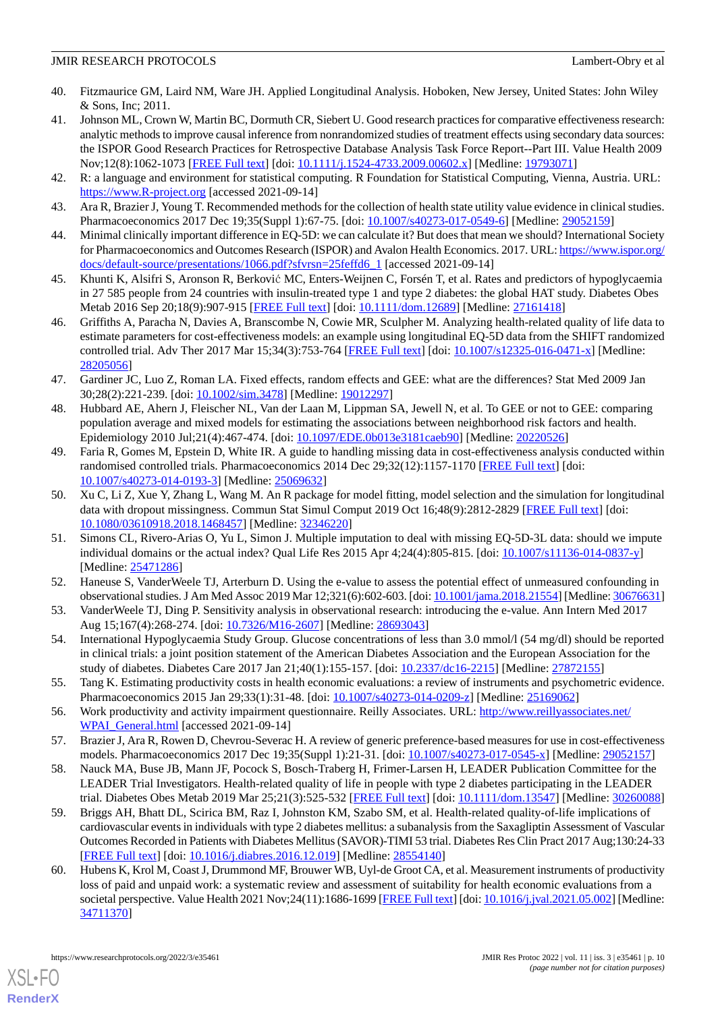- <span id="page-9-0"></span>40. Fitzmaurice GM, Laird NM, Ware JH. Applied Longitudinal Analysis. Hoboken, New Jersey, United States: John Wiley & Sons, Inc; 2011.
- <span id="page-9-1"></span>41. Johnson ML, Crown W, Martin BC, Dormuth CR, Siebert U. Good research practices for comparative effectiveness research: analytic methods to improve causal inference from nonrandomized studies of treatment effects using secondary data sources: the ISPOR Good Research Practices for Retrospective Database Analysis Task Force Report--Part III. Value Health 2009 Nov;12(8):1062-1073 [[FREE Full text](https://linkinghub.elsevier.com/retrieve/pii/S1098-3015(10)60310-5)] [doi: [10.1111/j.1524-4733.2009.00602.x](http://dx.doi.org/10.1111/j.1524-4733.2009.00602.x)] [Medline: [19793071\]](http://www.ncbi.nlm.nih.gov/entrez/query.fcgi?cmd=Retrieve&db=PubMed&list_uids=19793071&dopt=Abstract)
- <span id="page-9-3"></span><span id="page-9-2"></span>42. R: a language and environment for statistical computing. R Foundation for Statistical Computing, Vienna, Austria. URL: <https://www.R-project.org> [accessed 2021-09-14]
- <span id="page-9-4"></span>43. Ara R, Brazier J, Young T. Recommended methods for the collection of health state utility value evidence in clinical studies. Pharmacoeconomics 2017 Dec 19;35(Suppl 1):67-75. [doi: [10.1007/s40273-017-0549-6\]](http://dx.doi.org/10.1007/s40273-017-0549-6) [Medline: [29052159\]](http://www.ncbi.nlm.nih.gov/entrez/query.fcgi?cmd=Retrieve&db=PubMed&list_uids=29052159&dopt=Abstract)
- <span id="page-9-5"></span>44. Minimal clinically important difference in EQ-5D: we can calculate it? But does that mean we should? International Society for Pharmacoeconomics and Outcomes Research (ISPOR) and Avalon Health Economics. 2017. URL: [https://www.ispor.org/](https://www.ispor.org/docs/default-source/presentations/1066.pdf?sfvrsn=25feffd6_1) [docs/default-source/presentations/1066.pdf?sfvrsn=25feffd6\\_1](https://www.ispor.org/docs/default-source/presentations/1066.pdf?sfvrsn=25feffd6_1) [accessed 2021-09-14]
- <span id="page-9-6"></span>45. Khunti K, Alsifri S, Aronson R, Berković MC, Enters-Weijnen C, Forsén T, et al. Rates and predictors of hypoglycaemia in 27 585 people from 24 countries with insulin-treated type 1 and type 2 diabetes: the global HAT study. Diabetes Obes Metab 2016 Sep 20;18(9):907-915 [[FREE Full text](http://europepmc.org/abstract/MED/27161418)] [doi: [10.1111/dom.12689](http://dx.doi.org/10.1111/dom.12689)] [Medline: [27161418\]](http://www.ncbi.nlm.nih.gov/entrez/query.fcgi?cmd=Retrieve&db=PubMed&list_uids=27161418&dopt=Abstract)
- 46. Griffiths A, Paracha N, Davies A, Branscombe N, Cowie MR, Sculpher M. Analyzing health-related quality of life data to estimate parameters for cost-effectiveness models: an example using longitudinal EQ-5D data from the SHIFT randomized controlled trial. Adv Ther 2017 Mar 15;34(3):753-764 [[FREE Full text](http://europepmc.org/abstract/MED/28205056)] [doi: [10.1007/s12325-016-0471-x\]](http://dx.doi.org/10.1007/s12325-016-0471-x) [Medline: [28205056](http://www.ncbi.nlm.nih.gov/entrez/query.fcgi?cmd=Retrieve&db=PubMed&list_uids=28205056&dopt=Abstract)]
- <span id="page-9-7"></span>47. Gardiner JC, Luo Z, Roman LA. Fixed effects, random effects and GEE: what are the differences? Stat Med 2009 Jan 30;28(2):221-239. [doi: [10.1002/sim.3478\]](http://dx.doi.org/10.1002/sim.3478) [Medline: [19012297\]](http://www.ncbi.nlm.nih.gov/entrez/query.fcgi?cmd=Retrieve&db=PubMed&list_uids=19012297&dopt=Abstract)
- <span id="page-9-8"></span>48. Hubbard AE, Ahern J, Fleischer NL, Van der Laan M, Lippman SA, Jewell N, et al. To GEE or not to GEE: comparing population average and mixed models for estimating the associations between neighborhood risk factors and health. Epidemiology 2010 Jul;21(4):467-474. [doi: [10.1097/EDE.0b013e3181caeb90\]](http://dx.doi.org/10.1097/EDE.0b013e3181caeb90) [Medline: [20220526\]](http://www.ncbi.nlm.nih.gov/entrez/query.fcgi?cmd=Retrieve&db=PubMed&list_uids=20220526&dopt=Abstract)
- <span id="page-9-9"></span>49. Faria R, Gomes M, Epstein D, White IR. A guide to handling missing data in cost-effectiveness analysis conducted within randomised controlled trials. Pharmacoeconomics 2014 Dec 29;32(12):1157-1170 [[FREE Full text\]](http://europepmc.org/abstract/MED/25069632) [doi: [10.1007/s40273-014-0193-3\]](http://dx.doi.org/10.1007/s40273-014-0193-3) [Medline: [25069632](http://www.ncbi.nlm.nih.gov/entrez/query.fcgi?cmd=Retrieve&db=PubMed&list_uids=25069632&dopt=Abstract)]
- <span id="page-9-10"></span>50. Xu C, Li Z, Xue Y, Zhang L, Wang M. An R package for model fitting, model selection and the simulation for longitudinal data with dropout missingness. Commun Stat Simul Comput 2019 Oct 16;48(9):2812-2829 [[FREE Full text](http://europepmc.org/abstract/MED/32346220)] [doi: [10.1080/03610918.2018.1468457\]](http://dx.doi.org/10.1080/03610918.2018.1468457) [Medline: [32346220\]](http://www.ncbi.nlm.nih.gov/entrez/query.fcgi?cmd=Retrieve&db=PubMed&list_uids=32346220&dopt=Abstract)
- <span id="page-9-12"></span><span id="page-9-11"></span>51. Simons CL, Rivero-Arias O, Yu L, Simon J. Multiple imputation to deal with missing EQ-5D-3L data: should we impute individual domains or the actual index? Qual Life Res 2015 Apr 4;24(4):805-815. [doi: [10.1007/s11136-014-0837-y\]](http://dx.doi.org/10.1007/s11136-014-0837-y) [Medline: [25471286](http://www.ncbi.nlm.nih.gov/entrez/query.fcgi?cmd=Retrieve&db=PubMed&list_uids=25471286&dopt=Abstract)]
- <span id="page-9-13"></span>52. Haneuse S, VanderWeele TJ, Arterburn D. Using the e-value to assess the potential effect of unmeasured confounding in observational studies. J Am Med Assoc 2019 Mar 12;321(6):602-603. [doi: [10.1001/jama.2018.21554](http://dx.doi.org/10.1001/jama.2018.21554)] [Medline: [30676631\]](http://www.ncbi.nlm.nih.gov/entrez/query.fcgi?cmd=Retrieve&db=PubMed&list_uids=30676631&dopt=Abstract)
- <span id="page-9-14"></span>53. VanderWeele TJ, Ding P. Sensitivity analysis in observational research: introducing the e-value. Ann Intern Med 2017 Aug 15;167(4):268-274. [doi: [10.7326/M16-2607\]](http://dx.doi.org/10.7326/M16-2607) [Medline: [28693043\]](http://www.ncbi.nlm.nih.gov/entrez/query.fcgi?cmd=Retrieve&db=PubMed&list_uids=28693043&dopt=Abstract)
- <span id="page-9-15"></span>54. International Hypoglycaemia Study Group. Glucose concentrations of less than 3.0 mmol/l (54 mg/dl) should be reported in clinical trials: a joint position statement of the American Diabetes Association and the European Association for the study of diabetes. Diabetes Care 2017 Jan 21;40(1):155-157. [doi: [10.2337/dc16-2215\]](http://dx.doi.org/10.2337/dc16-2215) [Medline: [27872155](http://www.ncbi.nlm.nih.gov/entrez/query.fcgi?cmd=Retrieve&db=PubMed&list_uids=27872155&dopt=Abstract)]
- <span id="page-9-17"></span><span id="page-9-16"></span>55. Tang K. Estimating productivity costs in health economic evaluations: a review of instruments and psychometric evidence. Pharmacoeconomics 2015 Jan 29;33(1):31-48. [doi: [10.1007/s40273-014-0209-z\]](http://dx.doi.org/10.1007/s40273-014-0209-z) [Medline: [25169062](http://www.ncbi.nlm.nih.gov/entrez/query.fcgi?cmd=Retrieve&db=PubMed&list_uids=25169062&dopt=Abstract)]
- 56. Work productivity and activity impairment questionnaire. Reilly Associates. URL: [http://www.reillyassociates.net/](http://www.reillyassociates.net/WPAI_General.html) [WPAI\\_General.html](http://www.reillyassociates.net/WPAI_General.html) [accessed 2021-09-14]
- <span id="page-9-18"></span>57. Brazier J, Ara R, Rowen D, Chevrou-Severac H. A review of generic preference-based measures for use in cost-effectiveness models. Pharmacoeconomics 2017 Dec 19;35(Suppl 1):21-31. [doi: [10.1007/s40273-017-0545-x\]](http://dx.doi.org/10.1007/s40273-017-0545-x) [Medline: [29052157\]](http://www.ncbi.nlm.nih.gov/entrez/query.fcgi?cmd=Retrieve&db=PubMed&list_uids=29052157&dopt=Abstract)
- <span id="page-9-19"></span>58. Nauck MA, Buse JB, Mann JF, Pocock S, Bosch-Traberg H, Frimer-Larsen H, LEADER Publication Committee for the LEADER Trial Investigators. Health-related quality of life in people with type 2 diabetes participating in the LEADER trial. Diabetes Obes Metab 2019 Mar 25;21(3):525-532 [[FREE Full text](http://europepmc.org/abstract/MED/30260088)] [doi: [10.1111/dom.13547\]](http://dx.doi.org/10.1111/dom.13547) [Medline: [30260088](http://www.ncbi.nlm.nih.gov/entrez/query.fcgi?cmd=Retrieve&db=PubMed&list_uids=30260088&dopt=Abstract)]
- 59. Briggs AH, Bhatt DL, Scirica BM, Raz I, Johnston KM, Szabo SM, et al. Health-related quality-of-life implications of cardiovascular events in individuals with type 2 diabetes mellitus: a subanalysis from the Saxagliptin Assessment of Vascular Outcomes Recorded in Patients with Diabetes Mellitus (SAVOR)-TIMI 53 trial. Diabetes Res Clin Pract 2017 Aug;130:24-33 [[FREE Full text](https://linkinghub.elsevier.com/retrieve/pii/S0168-8227(17)30067-0)] [doi: [10.1016/j.diabres.2016.12.019](http://dx.doi.org/10.1016/j.diabres.2016.12.019)] [Medline: [28554140](http://www.ncbi.nlm.nih.gov/entrez/query.fcgi?cmd=Retrieve&db=PubMed&list_uids=28554140&dopt=Abstract)]
- 60. Hubens K, Krol M, Coast J, Drummond MF, Brouwer WB, Uyl-de Groot CA, et al. Measurement instruments of productivity loss of paid and unpaid work: a systematic review and assessment of suitability for health economic evaluations from a societal perspective. Value Health 2021 Nov;24(11):1686-1699 [\[FREE Full text\]](https://linkinghub.elsevier.com/retrieve/pii/S1098-3015(21)01543-6) [doi: [10.1016/j.jval.2021.05.002\]](http://dx.doi.org/10.1016/j.jval.2021.05.002) [Medline: [34711370](http://www.ncbi.nlm.nih.gov/entrez/query.fcgi?cmd=Retrieve&db=PubMed&list_uids=34711370&dopt=Abstract)]

[XSL](http://www.w3.org/Style/XSL)•FO **[RenderX](http://www.renderx.com/)**